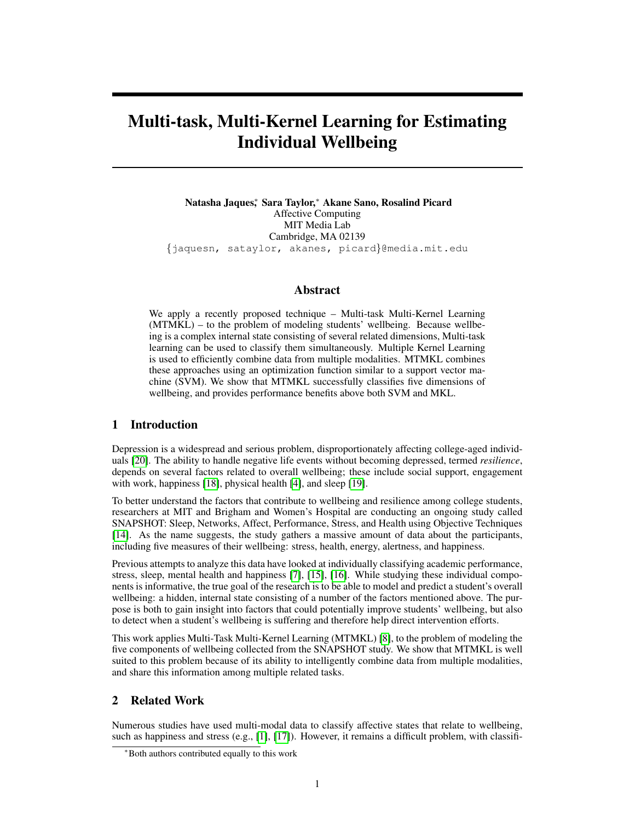# Multi-task, Multi-Kernel Learning for Estimating Individual Wellbeing

Natasha Jaques<sup>∗</sup> , Sara Taylor,<sup>∗</sup> Akane Sano, Rosalind Picard Affective Computing MIT Media Lab Cambridge, MA 02139 {jaquesn, sataylor, akanes, picard}@media.mit.edu

## Abstract

We apply a recently proposed technique – Multi-task Multi-Kernel Learning (MTMKL) – to the problem of modeling students' wellbeing. Because wellbeing is a complex internal state consisting of several related dimensions, Multi-task learning can be used to classify them simultaneously. Multiple Kernel Learning is used to efficiently combine data from multiple modalities. MTMKL combines these approaches using an optimization function similar to a support vector machine (SVM). We show that MTMKL successfully classifies five dimensions of wellbeing, and provides performance benefits above both SVM and MKL.

# 1 Introduction

Depression is a widespread and serious problem, disproportionately affecting college-aged individuals [\[20\]](#page-6-0). The ability to handle negative life events without becoming depressed, termed *resilience*, depends on several factors related to overall wellbeing; these include social support, engagement with work, happiness [\[18\]](#page-6-1), physical health [\[4\]](#page-5-0), and sleep [\[19\]](#page-6-2).

To better understand the factors that contribute to wellbeing and resilience among college students, researchers at MIT and Brigham and Women's Hospital are conducting an ongoing study called SNAPSHOT: Sleep, Networks, Affect, Performance, Stress, and Health using Objective Techniques [\[14\]](#page-6-3). As the name suggests, the study gathers a massive amount of data about the participants, including five measures of their wellbeing: stress, health, energy, alertness, and happiness.

Previous attempts to analyze this data have looked at individually classifying academic performance, stress, sleep, mental health and happiness [\[7\]](#page-5-1), [\[15\]](#page-6-4), [\[16\]](#page-6-5). While studying these individual components is informative, the true goal of the research is to be able to model and predict a student's overall wellbeing: a hidden, internal state consisting of a number of the factors mentioned above. The purpose is both to gain insight into factors that could potentially improve students' wellbeing, but also to detect when a student's wellbeing is suffering and therefore help direct intervention efforts.

This work applies Multi-Task Multi-Kernel Learning (MTMKL) [\[8\]](#page-5-2), to the problem of modeling the five components of wellbeing collected from the SNAPSHOT study. We show that MTMKL is well suited to this problem because of its ability to intelligently combine data from multiple modalities, and share this information among multiple related tasks.

# 2 Related Work

Numerous studies have used multi-modal data to classify affective states that relate to wellbeing, such as happiness and stress (e.g., [\[1\]](#page-5-3), [\[17\]](#page-6-6)). However, it remains a difficult problem, with classifi-

<sup>∗</sup>Both authors contributed equally to this work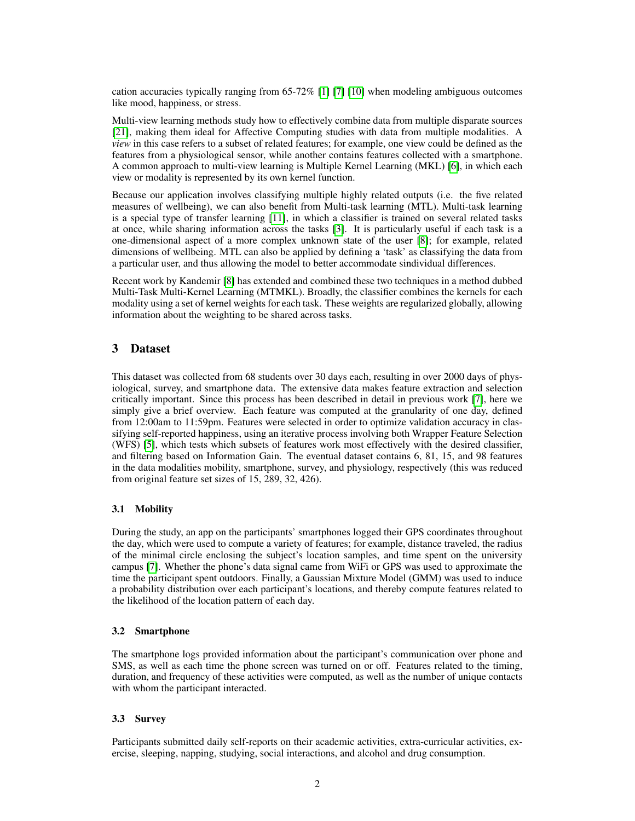cation accuracies typically ranging from 65-72% [\[1\]](#page-5-3) [\[7\]](#page-5-1) [\[10\]](#page-5-4) when modeling ambiguous outcomes like mood, happiness, or stress.

Multi-view learning methods study how to effectively combine data from multiple disparate sources [\[21\]](#page-6-7), making them ideal for Affective Computing studies with data from multiple modalities. A *view* in this case refers to a subset of related features; for example, one view could be defined as the features from a physiological sensor, while another contains features collected with a smartphone. A common approach to multi-view learning is Multiple Kernel Learning (MKL) [\[6\]](#page-5-5), in which each view or modality is represented by its own kernel function.

Because our application involves classifying multiple highly related outputs (i.e. the five related measures of wellbeing), we can also benefit from Multi-task learning (MTL). Multi-task learning is a special type of transfer learning [\[11\]](#page-6-8), in which a classifier is trained on several related tasks at once, while sharing information across the tasks [\[3\]](#page-5-6). It is particularly useful if each task is a one-dimensional aspect of a more complex unknown state of the user [\[8\]](#page-5-2); for example, related dimensions of wellbeing. MTL can also be applied by defining a 'task' as classifying the data from a particular user, and thus allowing the model to better accommodate sindividual differences.

Recent work by Kandemir [\[8\]](#page-5-2) has extended and combined these two techniques in a method dubbed Multi-Task Multi-Kernel Learning (MTMKL). Broadly, the classifier combines the kernels for each modality using a set of kernel weights for each task. These weights are regularized globally, allowing information about the weighting to be shared across tasks.

# 3 Dataset

This dataset was collected from 68 students over 30 days each, resulting in over 2000 days of physiological, survey, and smartphone data. The extensive data makes feature extraction and selection critically important. Since this process has been described in detail in previous work [\[7\]](#page-5-1), here we simply give a brief overview. Each feature was computed at the granularity of one day, defined from 12:00am to 11:59pm. Features were selected in order to optimize validation accuracy in classifying self-reported happiness, using an iterative process involving both Wrapper Feature Selection (WFS) [\[5\]](#page-5-7), which tests which subsets of features work most effectively with the desired classifier, and filtering based on Information Gain. The eventual dataset contains 6, 81, 15, and 98 features in the data modalities mobility, smartphone, survey, and physiology, respectively (this was reduced from original feature set sizes of 15, 289, 32, 426).

# 3.1 Mobility

During the study, an app on the participants' smartphones logged their GPS coordinates throughout the day, which were used to compute a variety of features; for example, distance traveled, the radius of the minimal circle enclosing the subject's location samples, and time spent on the university campus [\[7\]](#page-5-1). Whether the phone's data signal came from WiFi or GPS was used to approximate the time the participant spent outdoors. Finally, a Gaussian Mixture Model (GMM) was used to induce a probability distribution over each participant's locations, and thereby compute features related to the likelihood of the location pattern of each day.

## 3.2 Smartphone

The smartphone logs provided information about the participant's communication over phone and SMS, as well as each time the phone screen was turned on or off. Features related to the timing, duration, and frequency of these activities were computed, as well as the number of unique contacts with whom the participant interacted.

## 3.3 Survey

Participants submitted daily self-reports on their academic activities, extra-curricular activities, exercise, sleeping, napping, studying, social interactions, and alcohol and drug consumption.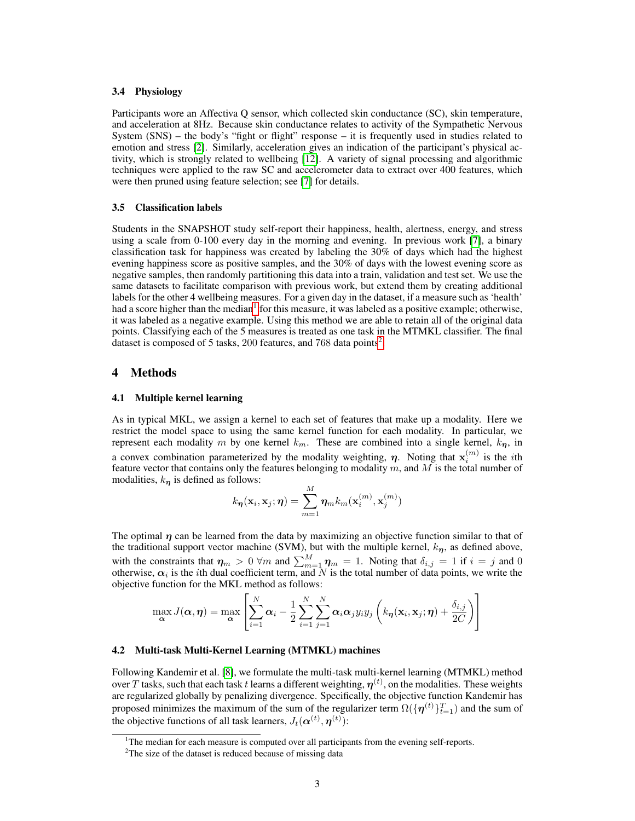#### 3.4 Physiology

Participants wore an Affectiva Q sensor, which collected skin conductance (SC), skin temperature, and acceleration at 8Hz. Because skin conductance relates to activity of the Sympathetic Nervous System  $(SNS)$  – the body's "fight or flight" response – it is frequently used in studies related to emotion and stress [\[2\]](#page-5-8). Similarly, acceleration gives an indication of the participant's physical activity, which is strongly related to wellbeing [\[12\]](#page-6-9). A variety of signal processing and algorithmic techniques were applied to the raw SC and accelerometer data to extract over 400 features, which were then pruned using feature selection; see [\[7\]](#page-5-1) for details.

### 3.5 Classification labels

Students in the SNAPSHOT study self-report their happiness, health, alertness, energy, and stress using a scale from 0-100 every day in the morning and evening. In previous work [\[7\]](#page-5-1), a binary classification task for happiness was created by labeling the 30% of days which had the highest evening happiness score as positive samples, and the 30% of days with the lowest evening score as negative samples, then randomly partitioning this data into a train, validation and test set. We use the same datasets to facilitate comparison with previous work, but extend them by creating additional labels for the other 4 wellbeing measures. For a given day in the dataset, if a measure such as 'health' had a score higher than the median<sup>[1](#page-2-0)</sup> for this measure, it was labeled as a positive example; otherwise, it was labeled as a negative example. Using this method we are able to retain all of the original data points. Classifying each of the 5 measures is treated as one task in the MTMKL classifier. The final dataset is composed of 5 tasks, [2](#page-2-1)00 features, and 768 data points<sup>2</sup>.

## 4 Methods

### 4.1 Multiple kernel learning

As in typical MKL, we assign a kernel to each set of features that make up a modality. Here we restrict the model space to using the same kernel function for each modality. In particular, we represent each modality m by one kernel  $k_m$ . These are combined into a single kernel,  $k_{\eta}$ , in a convex combination parameterized by the modality weighting,  $\eta$ . Noting that  $\mathbf{x}_i^{(m)}$  is the *i*th feature vector that contains only the features belonging to modality  $m$ , and  $M$  is the total number of modalities,  $k_n$  is defined as follows:

$$
k_{\boldsymbol{\eta}}(\mathbf{x}_i, \mathbf{x}_j; \boldsymbol{\eta}) = \sum_{m=1}^{M} \boldsymbol{\eta}_m k_m(\mathbf{x}_i^{(m)}, \mathbf{x}_j^{(m)})
$$

The optimal  $\eta$  can be learned from the data by maximizing an objective function similar to that of the traditional support vector machine (SVM), but with the multiple kernel,  $k_n$ , as defined above, with the constraints that  $\eta_m > 0 \forall m$  and  $\sum_{m=1}^M \eta_m = 1$ . Noting that  $\delta_{i,j} = 1$  if  $i = j$  and 0 otherwise,  $\alpha_i$  is the *i*th dual coefficient term, and N is the total number of data points, we write the objective function for the MKL method as follows:

$$
\max_{\mathbf{\alpha}} J(\mathbf{\alpha}, \mathbf{\eta}) = \max_{\mathbf{\alpha}} \left[ \sum_{i=1}^{N} \mathbf{\alpha}_i - \frac{1}{2} \sum_{i=1}^{N} \sum_{j=1}^{N} \mathbf{\alpha}_i \mathbf{\alpha}_j y_i y_j \left( k_{\mathbf{\eta}}(\mathbf{x}_i, \mathbf{x}_j; \mathbf{\eta}) + \frac{\delta_{i,j}}{2C} \right) \right]
$$

#### 4.2 Multi-task Multi-Kernel Learning (MTMKL) machines

Following Kandemir et al. [\[8\]](#page-5-2), we formulate the multi-task multi-kernel learning (MTMKL) method over  $T$  tasks, such that each task  $t$  learns a different weighting,  $\eta^{(t)}$ , on the modalities. These weights are regularized globally by penalizing divergence. Specifically, the objective function Kandemir has proposed minimizes the maximum of the sum of the regularizer term  $\Omega(\{\boldsymbol{\eta}^{(t)}\}_{t=1}^T)$  and the sum of the objective functions of all task learners,  $J_t(\boldsymbol{\alpha}^{(t)}, \boldsymbol{\eta}^{(t)})$ :

<span id="page-2-0"></span><sup>&</sup>lt;sup>1</sup>The median for each measure is computed over all participants from the evening self-reports.

<span id="page-2-1"></span><sup>&</sup>lt;sup>2</sup>The size of the dataset is reduced because of missing data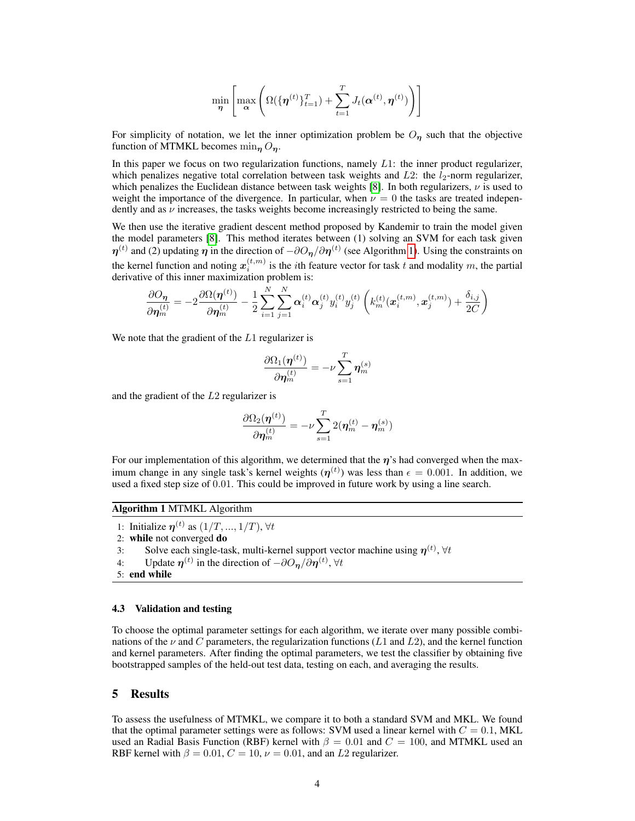$$
\min_{\boldsymbol{\eta}} \left[ \max_{\boldsymbol{\alpha}} \left( \Omega(\{\boldsymbol{\eta}^{(t)}\}_{t=1}^T) + \sum_{t=1}^T J_t(\boldsymbol{\alpha}^{(t)}, \boldsymbol{\eta}^{(t)}) \right) \right]
$$

For simplicity of notation, we let the inner optimization problem be  $O_n$  such that the objective function of MTMKL becomes  $\min_{\eta} O_{\eta}$ .

In this paper we focus on two regularization functions, namely  $L1$ : the inner product regularizer, which penalizes negative total correlation between task weights and  $L2$ : the  $l_2$ -norm regularizer, which penalizes the Euclidean distance between task weights [\[8\]](#page-5-2). In both regularizers,  $\nu$  is used to weight the importance of the divergence. In particular, when  $\nu = 0$  the tasks are treated independently and as  $\nu$  increases, the tasks weights become increasingly restricted to being the same.

We then use the iterative gradient descent method proposed by Kandemir to train the model given the model parameters [\[8\]](#page-5-2). This method iterates between (1) solving an SVM for each task given  $\eta^{(t)}$  and (2) updating  $\eta$  in the direction of  $-\partial O_{\eta}/\partial \eta^{(t)}$  (see Algorithm [1\)](#page-3-0). Using the constraints on the kernel function and noting  $x_i^{(t,m)}$  is the *i*th feature vector for task t and modality m, the partial derivative of this inner maximization problem is:

$$
\frac{\partial O_{\boldsymbol{\eta}}}{\partial \boldsymbol{\eta}_m^{(t)}} = -2 \frac{\partial \Omega(\boldsymbol{\eta}^{(t)})}{\partial \boldsymbol{\eta}_m^{(t)}} - \frac{1}{2} \sum_{i=1}^N \sum_{j=1}^N \boldsymbol{\alpha}_i^{(t)} \boldsymbol{\alpha}_j^{(t)} y_i^{(t)} y_j^{(t)} \left(k_m^{(t)}(\boldsymbol{x}_i^{(t,m)}, \boldsymbol{x}_j^{(t,m)}) + \frac{\delta_{i,j}}{2C}\right)
$$

We note that the gradient of the  $L1$  regularizer is

$$
\frac{\partial\Omega_1(\boldsymbol{\eta}^{(t)})}{\partial\boldsymbol{\eta}_m^{(t)}}=-\nu\sum_{s=1}^T\boldsymbol{\eta}_m^{(s)}
$$

and the gradient of the L2 regularizer is

$$
\frac{\partial \Omega_2(\boldsymbol{\eta}^{(t)})}{\partial \boldsymbol{\eta}^{(t)}_m} = -\nu \sum_{s=1}^T 2 (\boldsymbol{\eta}^{(t)}_m - \boldsymbol{\eta}^{(s)}_m)
$$

For our implementation of this algorithm, we determined that the  $\eta$ 's had converged when the maximum change in any single task's kernel weights  $(\eta^{(t)})$  was less than  $\epsilon = 0.001$ . In addition, we used a fixed step size of 0.01. This could be improved in future work by using a line search.

#### <span id="page-3-0"></span>Algorithm 1 MTMKL Algorithm

1: Initialize  $\eta^{(t)}$  as  $(1/T, ..., 1/T)$ ,  $\forall t$ 

2: while not converged do

- 3: Solve each single-task, multi-kernel support vector machine using  $\eta^{(t)}$ ,  $\forall t$
- 4: Update  $\eta^{(t)}$  in the direction of  $-\partial \mathcal{O}_{\eta}/\partial \eta^{(t)}$ ,  $\forall t$
- 5: end while

#### 4.3 Validation and testing

To choose the optimal parameter settings for each algorithm, we iterate over many possible combinations of the  $\nu$  and C parameters, the regularization functions (L1 and L2), and the kernel function and kernel parameters. After finding the optimal parameters, we test the classifier by obtaining five bootstrapped samples of the held-out test data, testing on each, and averaging the results.

## 5 Results

To assess the usefulness of MTMKL, we compare it to both a standard SVM and MKL. We found that the optimal parameter settings were as follows: SVM used a linear kernel with  $C = 0.1$ , MKL used an Radial Basis Function (RBF) kernel with  $\beta = 0.01$  and  $C = 100$ , and MTMKL used an RBF kernel with  $\beta = 0.01, C = 10, \nu = 0.01$ , and an L2 regularizer.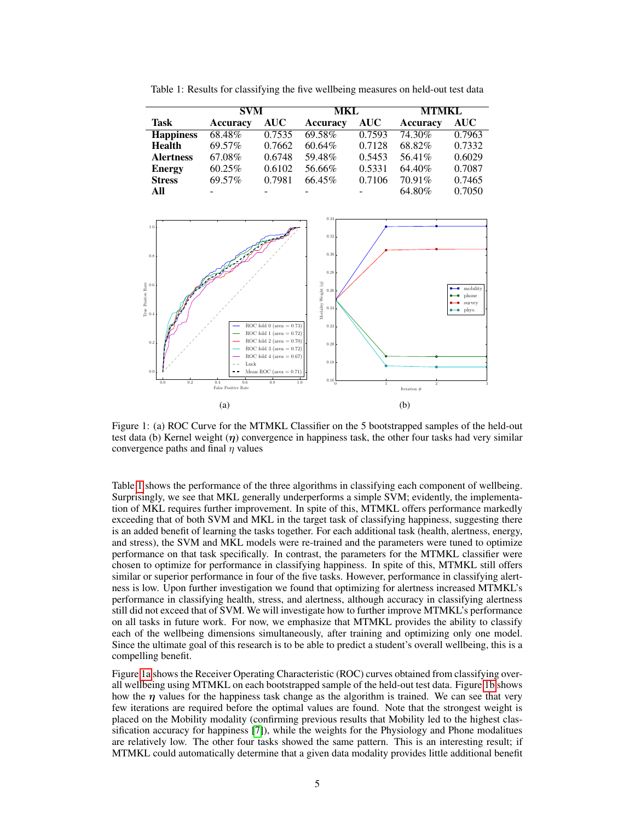<span id="page-4-0"></span>

|  |  |  | Table 1: Results for classifying the five wellbeing measures on held-out test data |  |
|--|--|--|------------------------------------------------------------------------------------|--|
|--|--|--|------------------------------------------------------------------------------------|--|

|                  | <b>SVM</b> |            | <b>MKL</b> |            | <b>MTMKL</b>    |            |
|------------------|------------|------------|------------|------------|-----------------|------------|
| Task             | Accuracy   | <b>AUC</b> | Accuracy   | <b>AUC</b> | <b>Accuracy</b> | <b>AUC</b> |
| <b>Happiness</b> | 68.48%     | 0.7535     | 69.58%     | 0.7593     | 74.30%          | 0.7963     |
| <b>Health</b>    | 69.57%     | 0.7662     | 60.64%     | 0.7128     | 68.82%          | 0.7332     |
| <b>Alertness</b> | 67.08%     | 0.6748     | 59.48%     | 0.5453     | 56.41%          | 0.6029     |
| <b>Energy</b>    | 60.25%     | 0.6102     | 56.66%     | 0.5331     | 64.40%          | 0.7087     |
| <b>Stress</b>    | 69.57%     | 0.7981     | 66.45%     | 0.7106     | 70.91%          | 0.7465     |
| All              |            |            |            |            | 64.80%          | 0.7050     |

<span id="page-4-1"></span>

Figure 1: (a) ROC Curve for the MTMKL Classifier on the 5 bootstrapped samples of the held-out test data (b) Kernel weight  $(\eta)$  convergence in happiness task, the other four tasks had very similar convergence paths and final  $\eta$  values

Table [1](#page-4-0) shows the performance of the three algorithms in classifying each component of wellbeing. Surprisingly, we see that MKL generally underperforms a simple SVM; evidently, the implementation of MKL requires further improvement. In spite of this, MTMKL offers performance markedly exceeding that of both SVM and MKL in the target task of classifying happiness, suggesting there is an added benefit of learning the tasks together. For each additional task (health, alertness, energy, and stress), the SVM and MKL models were re-trained and the parameters were tuned to optimize performance on that task specifically. In contrast, the parameters for the MTMKL classifier were chosen to optimize for performance in classifying happiness. In spite of this, MTMKL still offers similar or superior performance in four of the five tasks. However, performance in classifying alertness is low. Upon further investigation we found that optimizing for alertness increased MTMKL's performance in classifying health, stress, and alertness, although accuracy in classifying alertness still did not exceed that of SVM. We will investigate how to further improve MTMKL's performance on all tasks in future work. For now, we emphasize that MTMKL provides the ability to classify each of the wellbeing dimensions simultaneously, after training and optimizing only one model. Since the ultimate goal of this research is to be able to predict a student's overall wellbeing, this is a compelling benefit.

Figure [1a](#page-4-1) shows the Receiver Operating Characteristic (ROC) curves obtained from classifying overall wellbeing using MTMKL on each bootstrapped sample of the held-out test data. Figure [1b](#page-4-1) shows how the  $\eta$  values for the happiness task change as the algorithm is trained. We can see that very few iterations are required before the optimal values are found. Note that the strongest weight is placed on the Mobility modality (confirming previous results that Mobility led to the highest classification accuracy for happiness [\[7\]](#page-5-1)), while the weights for the Physiology and Phone modalitues are relatively low. The other four tasks showed the same pattern. This is an interesting result; if MTMKL could automatically determine that a given data modality provides little additional benefit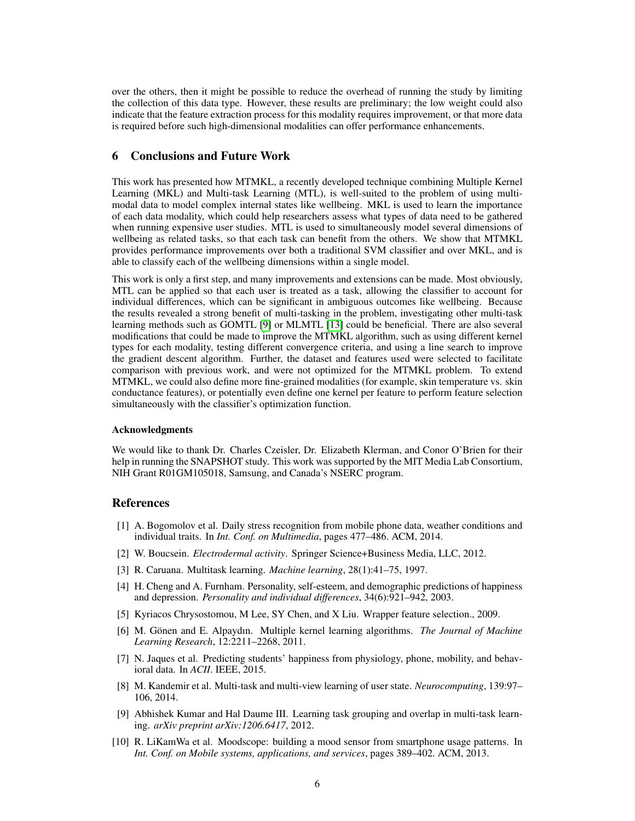over the others, then it might be possible to reduce the overhead of running the study by limiting the collection of this data type. However, these results are preliminary; the low weight could also indicate that the feature extraction process for this modality requires improvement, or that more data is required before such high-dimensional modalities can offer performance enhancements.

# 6 Conclusions and Future Work

This work has presented how MTMKL, a recently developed technique combining Multiple Kernel Learning (MKL) and Multi-task Learning (MTL), is well-suited to the problem of using multimodal data to model complex internal states like wellbeing. MKL is used to learn the importance of each data modality, which could help researchers assess what types of data need to be gathered when running expensive user studies. MTL is used to simultaneously model several dimensions of wellbeing as related tasks, so that each task can benefit from the others. We show that MTMKL provides performance improvements over both a traditional SVM classifier and over MKL, and is able to classify each of the wellbeing dimensions within a single model.

This work is only a first step, and many improvements and extensions can be made. Most obviously, MTL can be applied so that each user is treated as a task, allowing the classifier to account for individual differences, which can be significant in ambiguous outcomes like wellbeing. Because the results revealed a strong benefit of multi-tasking in the problem, investigating other multi-task learning methods such as GOMTL [\[9\]](#page-5-9) or MLMTL [\[13\]](#page-6-10) could be beneficial. There are also several modifications that could be made to improve the MTMKL algorithm, such as using different kernel types for each modality, testing different convergence criteria, and using a line search to improve the gradient descent algorithm. Further, the dataset and features used were selected to facilitate comparison with previous work, and were not optimized for the MTMKL problem. To extend MTMKL, we could also define more fine-grained modalities (for example, skin temperature vs. skin conductance features), or potentially even define one kernel per feature to perform feature selection simultaneously with the classifier's optimization function.

#### Acknowledgments

We would like to thank Dr. Charles Czeisler, Dr. Elizabeth Klerman, and Conor O'Brien for their help in running the SNAPSHOT study. This work was supported by the MIT Media Lab Consortium, NIH Grant R01GM105018, Samsung, and Canada's NSERC program.

#### References

- <span id="page-5-3"></span>[1] A. Bogomolov et al. Daily stress recognition from mobile phone data, weather conditions and individual traits. In *Int. Conf. on Multimedia*, pages 477–486. ACM, 2014.
- <span id="page-5-8"></span>[2] W. Boucsein. *Electrodermal activity*. Springer Science+Business Media, LLC, 2012.
- <span id="page-5-6"></span>[3] R. Caruana. Multitask learning. *Machine learning*, 28(1):41–75, 1997.
- <span id="page-5-0"></span>[4] H. Cheng and A. Furnham. Personality, self-esteem, and demographic predictions of happiness and depression. *Personality and individual differences*, 34(6):921–942, 2003.
- <span id="page-5-7"></span>[5] Kyriacos Chrysostomou, M Lee, SY Chen, and X Liu. Wrapper feature selection., 2009.
- <span id="page-5-5"></span>[6] M. Gönen and E. Alpaydın. Multiple kernel learning algorithms. *The Journal of Machine Learning Research*, 12:2211–2268, 2011.
- <span id="page-5-1"></span>[7] N. Jaques et al. Predicting students' happiness from physiology, phone, mobility, and behavioral data. In *ACII*. IEEE, 2015.
- <span id="page-5-2"></span>[8] M. Kandemir et al. Multi-task and multi-view learning of user state. *Neurocomputing*, 139:97– 106, 2014.
- <span id="page-5-9"></span>[9] Abhishek Kumar and Hal Daume III. Learning task grouping and overlap in multi-task learning. *arXiv preprint arXiv:1206.6417*, 2012.
- <span id="page-5-4"></span>[10] R. LiKamWa et al. Moodscope: building a mood sensor from smartphone usage patterns. In *Int. Conf. on Mobile systems, applications, and services*, pages 389–402. ACM, 2013.